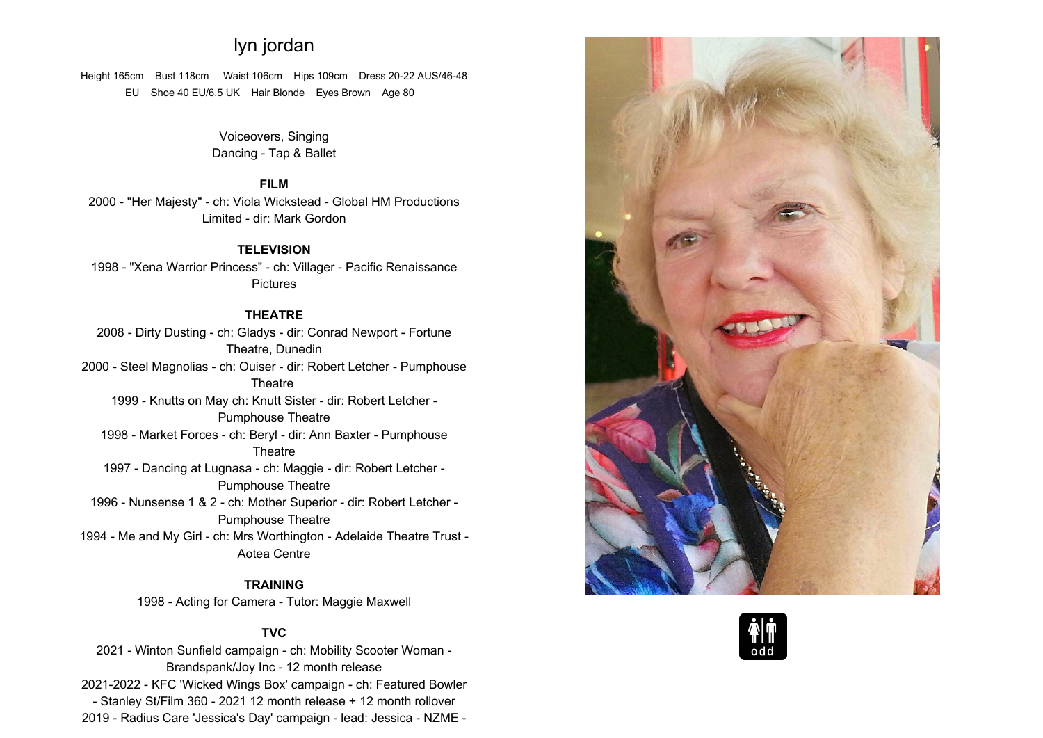# **lyn jordan**

**Height 165cm Bust 118cm Waist 106cm Hips 109cm Dress 20-22 AUS/46-48 EU Shoe <sup>40</sup> EU/6.5 UK Hair Blonde Eyes Brown Age <sup>80</sup>**

> **Voiceovers, SingingDancing - Tap & Ballet**

# **FILM**

 **2000 - "Her Majesty" - ch: Viola Wickstead - Global HM Productions Limited - dir: Mark Gordon**

### **TELEVISION**

 **1998 - "Xena Warrior Princess" - ch: Villager - Pacific Renaissance Pictures**

# **THEATRE**

 **2008 - Dirty Dusting - ch: Gladys - dir: Conrad Newport - Fortune Theatre, Dunedin 2000 - Steel Magnolias - ch: Ouiser - dir: Robert Letcher - Pumphouse Theatre 1999 - Knutts on May ch: Knutt Sister - dir: Robert Letcher - Pumphouse Theatre 1998 - Market Forces - ch: Beryl - dir: Ann Baxter - Pumphouse Theatre 1997 - Dancing at Lugnasa - ch: Maggie - dir: Robert Letcher - Pumphouse Theatre 1996 - Nunsense <sup>1</sup> & <sup>2</sup> - ch: Mother Superior - dir: Robert Letcher - PumphousePumphouse Theatre 1994 - Me and My Girl - ch: Mrs Worthington - Adelaide Theatre Trust - Aotea Centre**

#### **TRAINING**

**1998 - Acting for Camera - Tutor: Maggie Maxwell**

## **TVC**

 **2021 - Winton Sunfield campaign - ch: Mobility Scooter Woman - Brandspank/Joy Inc - <sup>12</sup> month release 2021-2022 - KFC 'Wicked Wings Box' campaign - ch: Featured Bowler - Stanley St/Film <sup>360</sup> - <sup>2021</sup> <sup>12</sup> month release <sup>+</sup> <sup>12</sup> month rollover 2019 - Radius Care 'Jessica's Day' campaign - lead: Jessica - NZME -**